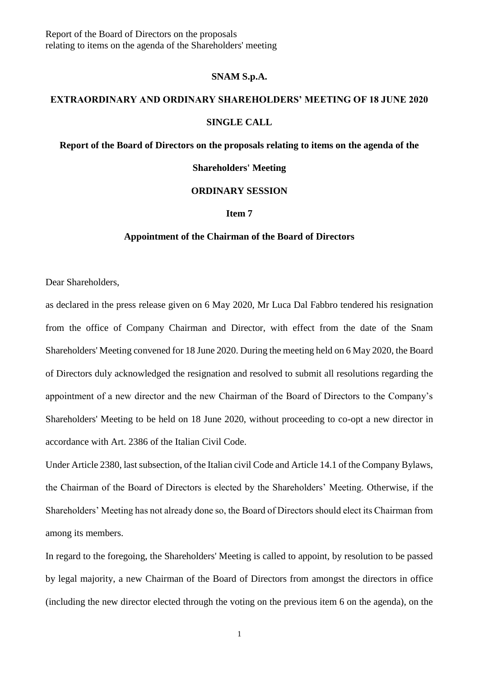Report of the Board of Directors on the proposals relating to items on the agenda of the Shareholders' meeting

## **SNAM S.p.A.**

## **EXTRAORDINARY AND ORDINARY SHAREHOLDERS' MEETING OF 18 JUNE 2020**

### **SINGLE CALL**

# **Report of the Board of Directors on the proposals relating to items on the agenda of the**

## **Shareholders' Meeting**

# **ORDINARY SESSION**

## **Item 7**

## **Appointment of the Chairman of the Board of Directors**

Dear Shareholders,

as declared in the press release given on 6 May 2020, Mr Luca Dal Fabbro tendered his resignation from the office of Company Chairman and Director, with effect from the date of the Snam Shareholders' Meeting convened for 18 June 2020. During the meeting held on 6 May 2020, the Board of Directors duly acknowledged the resignation and resolved to submit all resolutions regarding the appointment of a new director and the new Chairman of the Board of Directors to the Company's Shareholders' Meeting to be held on 18 June 2020, without proceeding to co-opt a new director in accordance with Art. 2386 of the Italian Civil Code.

Under Article 2380, last subsection, of the Italian civil Code and Article 14.1 of the Company Bylaws, the Chairman of the Board of Directors is elected by the Shareholders' Meeting. Otherwise, if the Shareholders' Meeting has not already done so, the Board of Directors should elect its Chairman from among its members.

In regard to the foregoing, the Shareholders' Meeting is called to appoint, by resolution to be passed by legal majority, a new Chairman of the Board of Directors from amongst the directors in office (including the new director elected through the voting on the previous item 6 on the agenda), on the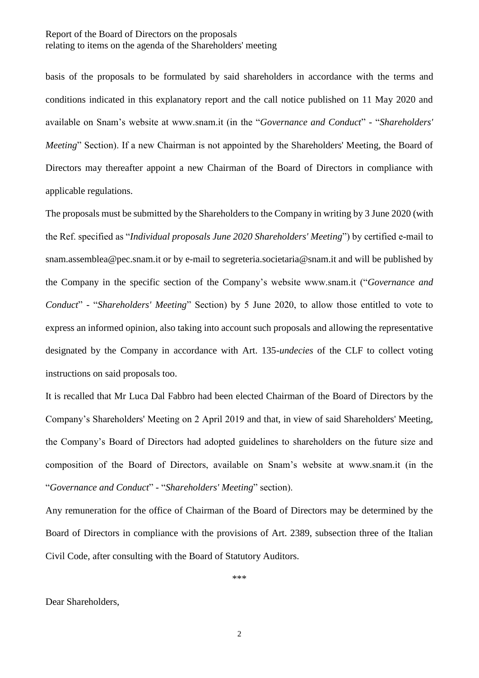basis of the proposals to be formulated by said shareholders in accordance with the terms and conditions indicated in this explanatory report and the call notice published on 11 May 2020 and available on Snam's website at www.snam.it (in the "*Governance and Conduct*" - "*Shareholders' Meeting*" Section). If a new Chairman is not appointed by the Shareholders' Meeting, the Board of Directors may thereafter appoint a new Chairman of the Board of Directors in compliance with applicable regulations.

The proposals must be submitted by the Shareholders to the Company in writing by 3 June 2020 (with the Ref. specified as "*Individual proposals June 2020 Shareholders' Meeting*") by certified e-mail to snam.assemblea@pec.snam.it or by e-mail to segreteria.societaria@snam.it and will be published by the Company in the specific section of the Company's website www.snam.it ("*Governance and Conduct*" - "*Shareholders' Meeting*" Section) by 5 June 2020, to allow those entitled to vote to express an informed opinion, also taking into account such proposals and allowing the representative designated by the Company in accordance with Art. 135-*undecies* of the CLF to collect voting instructions on said proposals too.

It is recalled that Mr Luca Dal Fabbro had been elected Chairman of the Board of Directors by the Company's Shareholders' Meeting on 2 April 2019 and that, in view of said Shareholders' Meeting, the Company's Board of Directors had adopted guidelines to shareholders on the future size and composition of the Board of Directors, available on Snam's website at www.snam.it (in the "*Governance and Conduct*" - "*Shareholders' Meeting*" section).

Any remuneration for the office of Chairman of the Board of Directors may be determined by the Board of Directors in compliance with the provisions of Art. 2389, subsection three of the Italian Civil Code, after consulting with the Board of Statutory Auditors.

\*\*\*

Dear Shareholders,